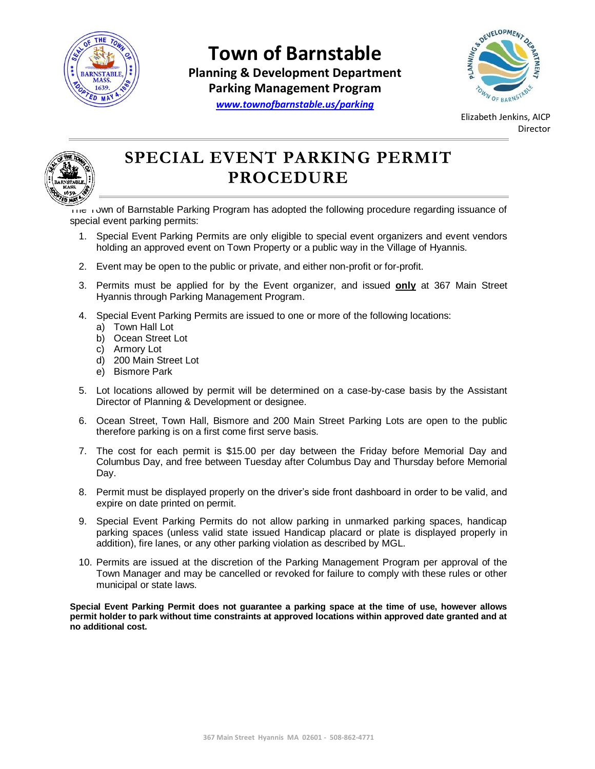

## **Town of Barnstable**

**Planning & Development Department Parking Management Program**



*[www.townofbarnstable.us/parking](http://www.townofbarnstable.us/parking)*

Elizabeth Jenkins, AICP Director



## **SPECIAL EVENT PARKING PERMIT PROCEDURE**

The Town of Barnstable Parking Program has adopted the following procedure regarding issuance of special event parking permits:

- 1. Special Event Parking Permits are only eligible to special event organizers and event vendors holding an approved event on Town Property or a public way in the Village of Hyannis.
- 2. Event may be open to the public or private, and either non-profit or for-profit.
- 3. Permits must be applied for by the Event organizer, and issued **only** at 367 Main Street Hyannis through Parking Management Program.
- 4. Special Event Parking Permits are issued to one or more of the following locations:
	- a) Town Hall Lot
	- b) Ocean Street Lot
	- c) Armory Lot
	- d) 200 Main Street Lot
	- e) Bismore Park
- 5. Lot locations allowed by permit will be determined on a case-by-case basis by the Assistant Director of Planning & Development or designee.
- 6. Ocean Street, Town Hall, Bismore and 200 Main Street Parking Lots are open to the public therefore parking is on a first come first serve basis.
- 7. The cost for each permit is \$15.00 per day between the Friday before Memorial Day and Columbus Day, and free between Tuesday after Columbus Day and Thursday before Memorial Day.
- 8. Permit must be displayed properly on the driver's side front dashboard in order to be valid, and expire on date printed on permit.
- 9. Special Event Parking Permits do not allow parking in unmarked parking spaces, handicap parking spaces (unless valid state issued Handicap placard or plate is displayed properly in addition), fire lanes, or any other parking violation as described by MGL.
- 10. Permits are issued at the discretion of the Parking Management Program per approval of the Town Manager and may be cancelled or revoked for failure to comply with these rules or other municipal or state laws.

**Special Event Parking Permit does not guarantee a parking space at the time of use, however allows permit holder to park without time constraints at approved locations within approved date granted and at no additional cost.**